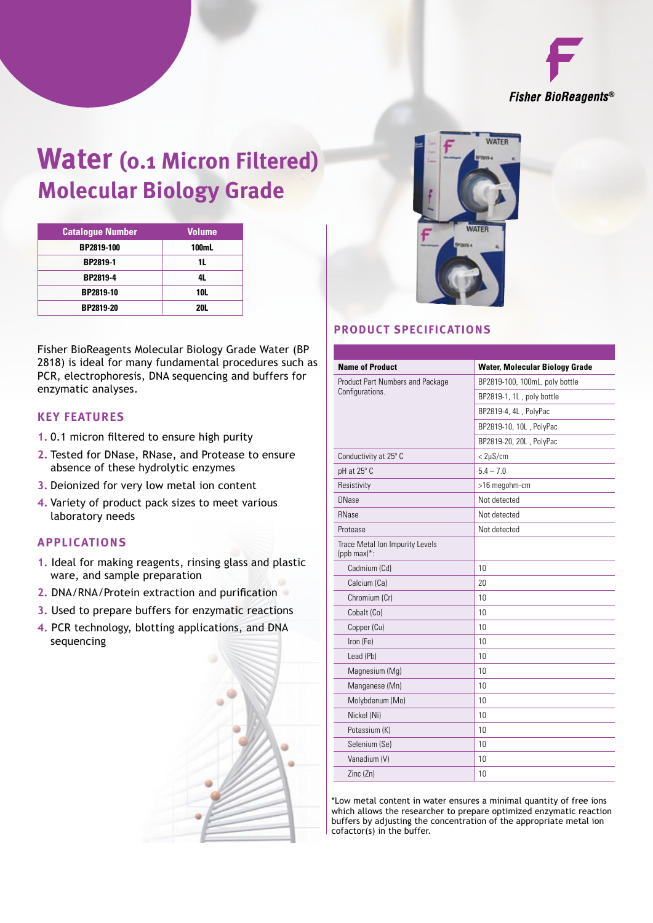

# **Water (0.1 Micron Filtered) Molecular Biology Grade**

| <b>Catalogue Number</b> | <b>Volume</b> |
|-------------------------|---------------|
| BP2819-100              | 100mL         |
| BP2819-1                | 11            |
| BP2819-4                | 4L            |
| BP2819-10               | <b>10L</b>    |
| BP2819-20               | 201           |

Fisher BioReagents Molecular Biology Grade Water (BP 2818) is ideal for many fundamental procedures such as PCR, electrophoresis, DNA sequencing and buffers for enzymatic analyses.

#### **Key Features**

- **1.** 0.1 micron filtered to ensure high purity
- **2.** Tested for DNase, RNase, and Protease to ensure absence of these hydrolytic enzymes
- **3.** Deionized for very low metal ion content
- **4.** Variety of product pack sizes to meet various laboratory needs

#### **Applications**

- **1.** Ideal for making reagents, rinsing glass and plastic ware, and sample preparation
- **2.** DNA/RNA/Protein extraction and purification
- **3.** Used to prepare buffers for enzymatic reactions
- **4.** PCR technology, blotting applications, and DNA sequencing





### **Product Specifications**

| <b>Name of Product</b>                             | <b>Water, Molecular Biology Grade</b> |  |  |  |  |  |  |
|----------------------------------------------------|---------------------------------------|--|--|--|--|--|--|
| Product Part Numbers and Package                   | BP2819-100, 100mL, poly bottle        |  |  |  |  |  |  |
| Configurations.                                    | BP2819-1, 1L, poly bottle             |  |  |  |  |  |  |
|                                                    | BP2819-4, 4L, PolyPac                 |  |  |  |  |  |  |
|                                                    | BP2819-10, 10L, PolyPac               |  |  |  |  |  |  |
|                                                    | BP2819-20, 20L, PolyPac               |  |  |  |  |  |  |
| Conductivity at 25° C                              | $<$ 2µS/cm                            |  |  |  |  |  |  |
| pH at 25° C                                        | $5.4 - 7.0$                           |  |  |  |  |  |  |
| Resistivity                                        | >16 megohm-cm                         |  |  |  |  |  |  |
| <b>DNase</b>                                       | Not detected                          |  |  |  |  |  |  |
| <b>RNase</b>                                       | Not detected                          |  |  |  |  |  |  |
| Protease                                           | Not detected                          |  |  |  |  |  |  |
| Trace Metal Ion Impurity Levels<br>(ppb max) $*$ : |                                       |  |  |  |  |  |  |
| Cadmium (Cd)                                       | 10                                    |  |  |  |  |  |  |
| Calcium (Ca)                                       | 20                                    |  |  |  |  |  |  |
| Chromium (Cr)                                      | 10                                    |  |  |  |  |  |  |
| Cobalt (Co)                                        | 10                                    |  |  |  |  |  |  |
| Copper (Cu)                                        | 10                                    |  |  |  |  |  |  |
| Iron (Fe)                                          | 10                                    |  |  |  |  |  |  |
| Lead (Pb)                                          | 10                                    |  |  |  |  |  |  |
| Magnesium (Mg)                                     | 10                                    |  |  |  |  |  |  |
| Manganese (Mn)                                     | 10                                    |  |  |  |  |  |  |
| Molybdenum (Mo)                                    | 10                                    |  |  |  |  |  |  |
| Nickel (Ni)                                        | 10                                    |  |  |  |  |  |  |
| Potassium (K)                                      | 10                                    |  |  |  |  |  |  |
| Selenium (Se)                                      | 10                                    |  |  |  |  |  |  |
| Vanadium (V)                                       | 10                                    |  |  |  |  |  |  |
| Zinc (Zn)                                          | 10                                    |  |  |  |  |  |  |

\*Low metal content in water ensures a minimal quantity of free ions which allows the researcher to prepare optimized enzymatic reaction buffers by adjusting the concentration of the appropriate metal ion cofactor(s) in the buffer.